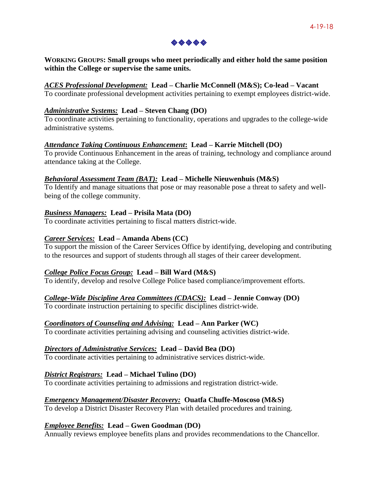

**WORKING GROUPS: Small groups who meet periodically and either hold the same position within the College or supervise the same units.**

## *ACES Professional Development:* **Lead – Charlie McConnell (M&S); Co-lead – Vacant**

To coordinate professional development activities pertaining to exempt employees district-wide.

## *Administrative Systems:* **Lead – Steven Chang (DO)**

To coordinate activities pertaining to functionality, operations and upgrades to the college-wide administrative systems.

# *Attendance Taking Continuous Enhancement***: Lead – Karrie Mitchell (DO)**

To provide Continuous Enhancement in the areas of training, technology and compliance around attendance taking at the College.

# *Behavioral Assessment Team (BAT):* **Lead – Michelle Nieuwenhuis (M&S)**

To Identify and manage situations that pose or may reasonable pose a threat to safety and wellbeing of the college community.

# *Business Managers:* **Lead – Prisila Mata (DO)**

To coordinate activities pertaining to fiscal matters district-wide.

# *Career Services:* **Lead – Amanda Abens (CC)**

To support the mission of the Career Services Office by identifying, developing and contributing to the resources and support of students through all stages of their career development.

#### *College Police Focus Group:* **Lead – Bill Ward (M&S)**

To identify, develop and resolve College Police based compliance/improvement efforts.

#### *College-Wide Discipline Area Committees (CDACS):* **Lead – Jennie Conway (DO)**

To coordinate instruction pertaining to specific disciplines district-wide.

#### *Coordinators of Counseling and Advising:* **Lead – Ann Parker (WC)**

To coordinate activities pertaining advising and counseling activities district-wide.

#### *Directors of Administrative Services:* **Lead – David Bea (DO)**

To coordinate activities pertaining to administrative services district-wide.

# *District Registrars:* **Lead – Michael Tulino (DO)**

To coordinate activities pertaining to admissions and registration district-wide.

# *Emergency Management/Disaster Recovery:* **Ouatfa Chuffe-Moscoso (M&S)**

To develop a District Disaster Recovery Plan with detailed procedures and training.

# *Employee Benefits:* **Lead – Gwen Goodman (DO)**

Annually reviews employee benefits plans and provides recommendations to the Chancellor.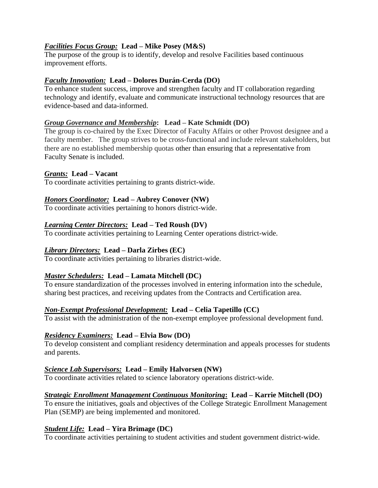# *Facilities Focus Group:* **Lead – Mike Posey (M&S)**

The purpose of the group is to identify, develop and resolve Facilities based continuous improvement efforts.

#### *Faculty Innovation:* **Lead – Dolores Durán-Cerda (DO)**

To enhance student success, improve and strengthen faculty and IT collaboration regarding technology and identify, evaluate and communicate instructional technology resources that are evidence-based and data-informed.

#### *Group Governance and Membership***: Lead – Kate Schmidt (DO)**

The group is co-chaired by the Exec Director of Faculty Affairs or other Provost designee and a faculty member. The group strives to be cross-functional and include relevant stakeholders, but there are no established membership quotas other than ensuring that a representative from Faculty Senate is included.

#### *Grants:* **Lead – Vacant**

To coordinate activities pertaining to grants district-wide.

#### *Honors Coordinator:* **Lead – Aubrey Conover (NW)**

To coordinate activities pertaining to honors district-wide.

#### *Learning Center Directors:* **Lead – Ted Roush (DV)**

To coordinate activities pertaining to Learning Center operations district-wide.

#### *Library Directors:* **Lead – Darla Zirbes (EC)**

To coordinate activities pertaining to libraries district-wide.

#### *Master Schedulers:* **Lead – Lamata Mitchell (DC)**

To ensure standardization of the processes involved in entering information into the schedule, sharing best practices, and receiving updates from the Contracts and Certification area.

#### *Non-Exempt Professional Development:* **Lead – Celia Tapetillo (CC)**

To assist with the administration of the non-exempt employee professional development fund.

#### *Residency Examiners:* **Lead – Elvia Bow (DO)**

To develop consistent and compliant residency determination and appeals processes for students and parents.

#### *Science Lab Supervisors:* **Lead – Emily Halvorsen (NW)**

To coordinate activities related to science laboratory operations district-wide.

#### *Strategic Enrollment Management Continuous Monitoring***: Lead – Karrie Mitchell (DO)**

To ensure the initiatives, goals and objectives of the College Strategic Enrollment Management Plan (SEMP) are being implemented and monitored.

#### *Student Life:* **Lead – Yira Brimage (DC)**

To coordinate activities pertaining to student activities and student government district-wide.